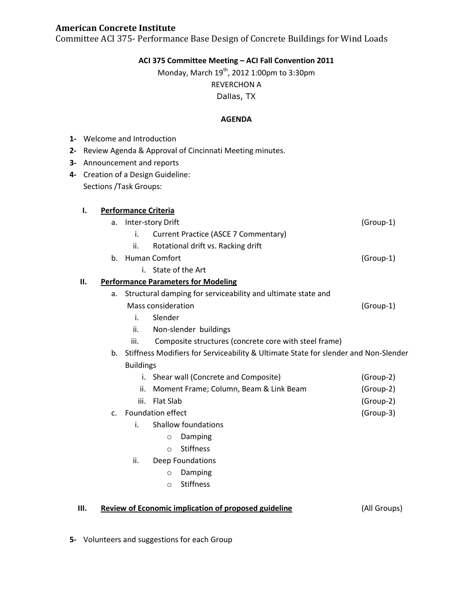### **American Concrete Institute**

Committee ACI 375- Performance Base Design of Concrete Buildings for Wind Loads

## **ACI 375 Committee Meeting – ACI Fall Convention 2011**

# Monday, March  $19^{th}$ , 2012 1:00pm to 3:30pm

REVERCHON A

Dallas, TX

### **AGENDA**

| $1 -$ |                                                                                           | Welcome and Introduction                                |                                                               |                                        |                                      |             |  |
|-------|-------------------------------------------------------------------------------------------|---------------------------------------------------------|---------------------------------------------------------------|----------------------------------------|--------------------------------------|-------------|--|
| 2-    |                                                                                           | Review Agenda & Approval of Cincinnati Meeting minutes. |                                                               |                                        |                                      |             |  |
|       |                                                                                           | 3- Announcement and reports                             |                                                               |                                        |                                      |             |  |
|       |                                                                                           | 4- Creation of a Design Guideline:                      |                                                               |                                        |                                      |             |  |
|       | Sections / Task Groups:                                                                   |                                                         |                                                               |                                        |                                      |             |  |
|       |                                                                                           |                                                         |                                                               |                                        |                                      |             |  |
|       | ı.<br><b>Performance Criteria</b>                                                         |                                                         |                                                               |                                        |                                      |             |  |
|       |                                                                                           | Inter-story Drift<br>a.                                 |                                                               |                                        |                                      | (Group-1)   |  |
|       |                                                                                           |                                                         | i.                                                            |                                        | Current Practice (ASCE 7 Commentary) |             |  |
|       |                                                                                           |                                                         | ii.                                                           |                                        | Rotational drift vs. Racking drift   |             |  |
|       |                                                                                           | <b>Human Comfort</b><br>b.                              |                                                               |                                        |                                      | $(Group-1)$ |  |
|       | i. State of the Art                                                                       |                                                         |                                                               |                                        |                                      |             |  |
|       | Н.<br><b>Performance Parameters for Modeling</b>                                          |                                                         |                                                               |                                        |                                      |             |  |
|       | Structural damping for serviceability and ultimate state and<br>a.                        |                                                         |                                                               |                                        |                                      |             |  |
|       | Mass consideration                                                                        |                                                         |                                                               |                                        |                                      | (Group-1)   |  |
|       | Slender<br>i.                                                                             |                                                         |                                                               |                                        |                                      |             |  |
|       |                                                                                           | ii.<br>Non-slender buildings                            |                                                               |                                        |                                      |             |  |
|       |                                                                                           |                                                         | iii.<br>Composite structures (concrete core with steel frame) |                                        |                                      |             |  |
|       | Stiffness Modifiers for Serviceability & Ultimate State for slender and Non-Slender<br>b. |                                                         |                                                               |                                        |                                      |             |  |
|       | <b>Buildings</b>                                                                          |                                                         |                                                               |                                        |                                      |             |  |
|       |                                                                                           |                                                         |                                                               | i. Shear wall (Concrete and Composite) |                                      | (Group-2)   |  |
|       |                                                                                           | ii.                                                     |                                                               | Moment Frame; Column, Beam & Link Beam |                                      | (Group-2)   |  |
|       | <b>Flat Slab</b><br>iii.                                                                  |                                                         |                                                               | (Group-2)                              |                                      |             |  |
|       | Foundation effect<br>$C_{\cdot}$                                                          |                                                         |                                                               |                                        |                                      | (Group-3)   |  |
|       | i.                                                                                        |                                                         |                                                               | <b>Shallow foundations</b>             |                                      |             |  |
|       |                                                                                           |                                                         |                                                               | $\circ$                                | Damping                              |             |  |
|       |                                                                                           |                                                         |                                                               | $\circ$                                | <b>Stiffness</b>                     |             |  |
|       |                                                                                           | ii.                                                     |                                                               |                                        | Deep Foundations                     |             |  |
|       |                                                                                           |                                                         |                                                               | $\circ$                                | Damping                              |             |  |
|       |                                                                                           |                                                         |                                                               | $\circ$                                | <b>Stiffness</b>                     |             |  |
|       |                                                                                           |                                                         |                                                               |                                        |                                      |             |  |

**III. Review of Economic implication of proposed guideline** (All Groups)

**5-** Volunteers and suggestions for each Group